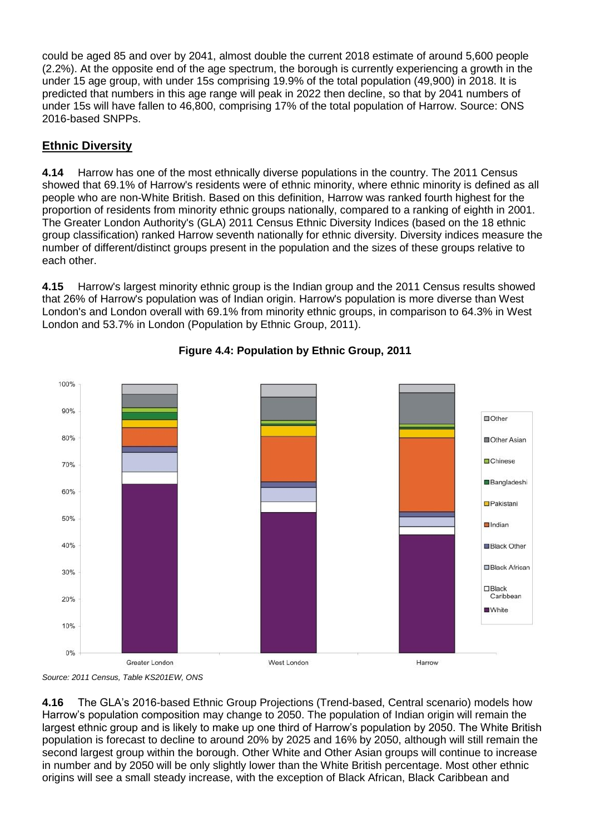could be aged 85 and over by 2041, almost double the current 2018 estimate of around 5,600 people (2.2%). At the opposite end of the age spectrum, the borough is currently experiencing a growth in the under 15 age group, with under 15s comprising 19.9% of the total population (49,900) in 2018. It is predicted that numbers in this age range will peak in 2022 then decline, so that by 2041 numbers of under 15s will have fallen to 46,800, comprising 17% of the total population of Harrow. Source: ONS 2016-based SNPPs.

## **Ethnic Diversity**

**4.14** Harrow has one of the most ethnically diverse populations in the country. The 2011 Census showed that 69.1% of Harrow's residents were of ethnic minority, where ethnic minority is defined as all people who are non-White British. Based on this definition, Harrow was ranked fourth highest for the proportion of residents from minority ethnic groups nationally, compared to a ranking of eighth in 2001. The Greater London Authority's (GLA) 2011 Census Ethnic Diversity Indices (based on the 18 ethnic group classification) ranked Harrow seventh nationally for ethnic diversity. Diversity indices measure the number of different/distinct groups present in the population and the sizes of these groups relative to each other.

**4.15** Harrow's largest minority ethnic group is the Indian group and the 2011 Census results showed that 26% of Harrow's population was of Indian origin. Harrow's population is more diverse than West London's and London overall with 69.1% from minority ethnic groups, in comparison to 64.3% in West London and 53.7% in London [\(Population by Ethnic Group, 2011\)](http://harrow.limehouse.co.uk/links/2358216#copy_2358216_ID_490).



## **Figure 4.4: Population by Ethnic Group, 2011**

*Source: 2011 Census, Table KS201EW, ONS*

**4.16** The GLA's 2016-based Ethnic Group Projections (Trend-based, Central scenario) models how Harrow's population composition may change to 2050. The population of Indian origin will remain the largest ethnic group and is likely to make up one third of Harrow's population by 2050. The White British population is forecast to decline to around 20% by 2025 and 16% by 2050, although will still remain the second largest group within the borough. Other White and Other Asian groups will continue to increase in number and by 2050 will be only slightly lower than the White British percentage. Most other ethnic origins will see a small steady increase, with the exception of Black African, Black Caribbean and